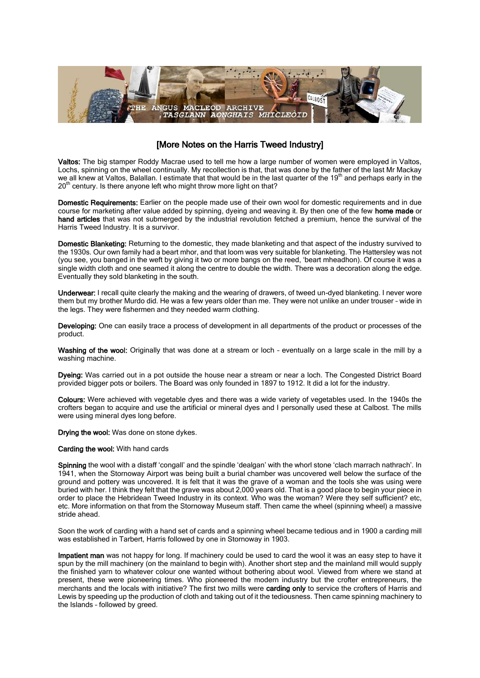

## [More Notes on the Harris Tweed Industry]

Valtos: The big stamper Roddy Macrae used to tell me how a large number of women were employed in Valtos, Lochs, spinning on the wheel continually. My recollection is that, that was done by the father of the last Mr Mackay we all knew at Valtos, Balallan. I estimate that that would be in the last quarter of the  $19<sup>m</sup>$  and perhaps early in the  $20<sup>th</sup>$  century. Is there anyone left who might throw more light on that?

Domestic Requirements: Earlier on the people made use of their own wool for domestic requirements and in due course for marketing after value added by spinning, dyeing and weaving it. By then one of the few **home made** or hand articles that was not submerged by the industrial revolution fetched a premium, hence the survival of the Harris Tweed Industry. It is a survivor.

Domestic Blanketing: Returning to the domestic, they made blanketing and that aspect of the industry survived to the 1930s. Our own family had a beart mhor, and that loom was very suitable for blanketing. The Hattersley was not (you see, you banged in the weft by giving it two or more bangs on the reed, 'beart mheadhon). Of course it was a single width cloth and one seamed it along the centre to double the width. There was a decoration along the edge. Eventually they sold blanketing in the south.

Underwear: I recall quite clearly the making and the wearing of drawers, of tweed un-dyed blanketing. I never wore them but my brother Murdo did. He was a few years older than me. They were not unlike an under trouser – wide in the legs. They were fishermen and they needed warm clothing.

Developing: One can easily trace a process of development in all departments of the product or processes of the product.

Washing of the wool: Originally that was done at a stream or loch - eventually on a large scale in the mill by a washing machine.

Dyeing: Was carried out in a pot outside the house near a stream or near a loch. The Congested District Board provided bigger pots or boilers. The Board was only founded in 1897 to 1912. It did a lot for the industry.

Colours: Were achieved with vegetable dyes and there was a wide variety of vegetables used. In the 1940s the crofters began to acquire and use the artificial or mineral dyes and I personally used these at Calbost. The mills were using mineral dyes long before.

Drying the wool: Was done on stone dykes.

## Carding the wool: With hand cards

Spinning the wool with a distaff 'congall' and the spindle 'dealgan' with the whorl stone 'clach marrach nathrach'. In 1941, when the Stornoway Airport was being built a burial chamber was uncovered well below the surface of the ground and pottery was uncovered. It is felt that it was the grave of a woman and the tools she was using were buried with her. I think they felt that the grave was about 2,000 years old. That is a good place to begin your piece in order to place the Hebridean Tweed Industry in its context. Who was the woman? Were they self sufficient? etc, etc. More information on that from the Stornoway Museum staff. Then came the wheel (spinning wheel) a massive stride ahead.

Soon the work of carding with a hand set of cards and a spinning wheel became tedious and in 1900 a carding mill was established in Tarbert, Harris followed by one in Stornoway in 1903.

Impatient man was not happy for long. If machinery could be used to card the wool it was an easy step to have it spun by the mill machinery (on the mainland to begin with). Another short step and the mainland mill would supply the finished yarn to whatever colour one wanted without bothering about wool. Viewed from where we stand at present, these were pioneering times. Who pioneered the modern industry but the crofter entrepreneurs, the merchants and the locals with initiative? The first two mills were carding only to service the crofters of Harris and Lewis by speeding up the production of cloth and taking out of it the tediousness. Then came spinning machinery to the Islands – followed by greed.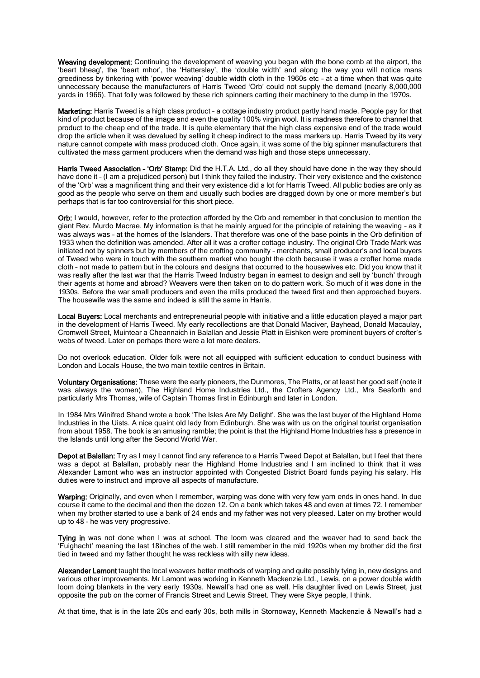Weaving development: Continuing the development of weaving you began with the bone comb at the airport, the 'beart bheag', the 'beart mhor', the 'Hattersley', the 'double width' and along the way you will notice mans greediness by tinkering with 'power weaving' double width cloth in the 1960s etc – at a time when that was quite unnecessary because the manufacturers of Harris Tweed 'Orb' could not supply the demand (nearly 8,000,000 yards in 1966). That folly was followed by these rich spinners carting their machinery to the dump in the 1970s.

Marketing: Harris Tweed is a high class product - a cottage industry product partly hand made. People pay for that kind of product because of the image and even the quality 100% virgin wool. It is madness therefore to channel that product to the cheap end of the trade. It is quite elementary that the high class expensive end of the trade would drop the article when it was devalued by selling it cheap indirect to the mass markers up. Harris Tweed by its very nature cannot compete with mass produced cloth. Once again, it was some of the big spinner manufacturers that cultivated the mass garment producers when the demand was high and those steps unnecessary.

Harris Tweed Association - 'Orb' Stamp: Did the H.T.A. Ltd., do all they should have done in the way they should have done it - (I am a prejudiced person) but I think they failed the industry. Their very existence and the existence of the 'Orb' was a magnificent thing and their very existence did a lot for Harris Tweed. All public bodies are only as good as the people who serve on them and usually such bodies are dragged down by one or more member's but perhaps that is far too controversial for this short piece.

Orb: I would, however, refer to the protection afforded by the Orb and remember in that conclusion to mention the giant Rev. Murdo Macrae. My information is that he mainly argued for the principle of retaining the weaving – as it was always was – at the homes of the Islanders. That therefore was one of the base points in the Orb definition of 1933 when the definition was amended. After all it was a crofter cottage industry. The original Orb Trade Mark was initiated not by spinners but by members of the crofting community – merchants, small producer's and local buyers of Tweed who were in touch with the southern market who bought the cloth because it was a crofter home made cloth – not made to pattern but in the colours and designs that occurred to the housewives etc. Did you know that it was really after the last war that the Harris Tweed Industry began in earnest to design and sell by 'bunch' through their agents at home and abroad? Weavers were then taken on to do pattern work. So much of it was done in the 1930s. Before the war small producers and even the mills produced the tweed first and then approached buyers. The housewife was the same and indeed is still the same in Harris.

Local Buyers: Local merchants and entrepreneurial people with initiative and a little education played a major part in the development of Harris Tweed. My early recollections are that Donald Maciver, Bayhead, Donald Macaulay, Cromwell Street, Muintear a Cheannaich in Balallan and Jessie Platt in Eishken were prominent buyers of crofter's webs of tweed. Later on perhaps there were a lot more dealers.

Do not overlook education. Older folk were not all equipped with sufficient education to conduct business with London and Locals House, the two main textile centres in Britain.

Voluntary Organisations: These were the early pioneers, the Dunmores, The Platts, or at least her good self (note it was always the women), The Highland Home Industries Ltd., the Crofters Agency Ltd., Mrs Seaforth and particularly Mrs Thomas, wife of Captain Thomas first in Edinburgh and later in London.

In 1984 Mrs Winifred Shand wrote a book 'The Isles Are My Delight'. She was the last buyer of the Highland Home Industries in the Uists. A nice quaint old lady from Edinburgh. She was with us on the original tourist organisation from about 1958. The book is an amusing ramble; the point is that the Highland Home Industries has a presence in the Islands until long after the Second World War.

Depot at Balallan: Try as I may I cannot find any reference to a Harris Tweed Depot at Balallan, but I feel that there was a depot at Balallan, probably near the Highland Home Industries and I am inclined to think that it was Alexander Lamont who was an instructor appointed with Congested District Board funds paying his salary. His duties were to instruct and improve all aspects of manufacture.

Warping: Originally, and even when I remember, warping was done with very few yarn ends in ones hand. In due course it came to the decimal and then the dozen 12. On a bank which takes 48 and even at times 72. I remember when my brother started to use a bank of 24 ends and my father was not very pleased. Later on my brother would up to 48 – he was very progressive.

Tying in was not done when I was at school. The loom was cleared and the weaver had to send back the 'Fuighacht' meaning the last 18inches of the web. I still remember in the mid 1920s when my brother did the first tied in tweed and my father thought he was reckless with silly new ideas.

Alexander Lamont taught the local weavers better methods of warping and quite possibly tying in, new designs and various other improvements. Mr Lamont was working in Kenneth Mackenzie Ltd., Lewis, on a power double width loom doing blankets in the very early 1930s. Newall's had one as well. His daughter lived on Lewis Street, just opposite the pub on the corner of Francis Street and Lewis Street. They were Skye people, I think.

At that time, that is in the late 20s and early 30s, both mills in Stornoway, Kenneth Mackenzie & Newall's had a